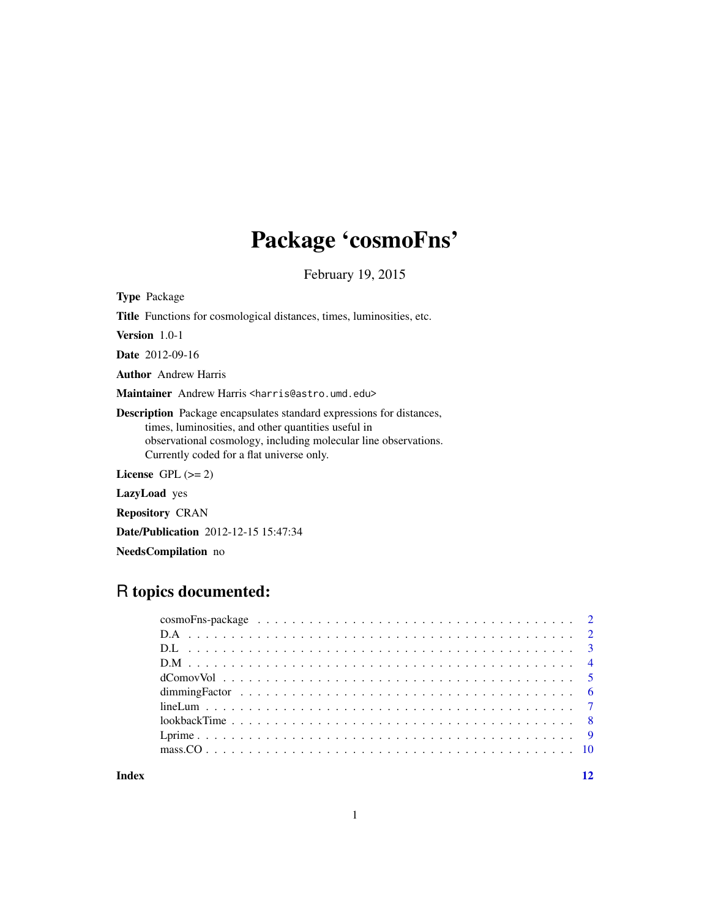## Package 'cosmoFns'

February 19, 2015

Type Package

Title Functions for cosmological distances, times, luminosities, etc.

Version 1.0-1

Date 2012-09-16

Author Andrew Harris

Maintainer Andrew Harris <harris@astro.umd.edu>

Description Package encapsulates standard expressions for distances, times, luminosities, and other quantities useful in observational cosmology, including molecular line observations. Currently coded for a flat universe only.

License GPL  $(>= 2)$ 

LazyLoad yes

Repository CRAN

Date/Publication 2012-12-15 15:47:34

NeedsCompilation no

## R topics documented:

| dimming Factor $\ldots \ldots \ldots \ldots \ldots \ldots \ldots \ldots \ldots \ldots \ldots \ldots \ldots$ |  |
|-------------------------------------------------------------------------------------------------------------|--|
|                                                                                                             |  |
|                                                                                                             |  |
|                                                                                                             |  |
|                                                                                                             |  |
|                                                                                                             |  |

#### **Index** [12](#page-11-0)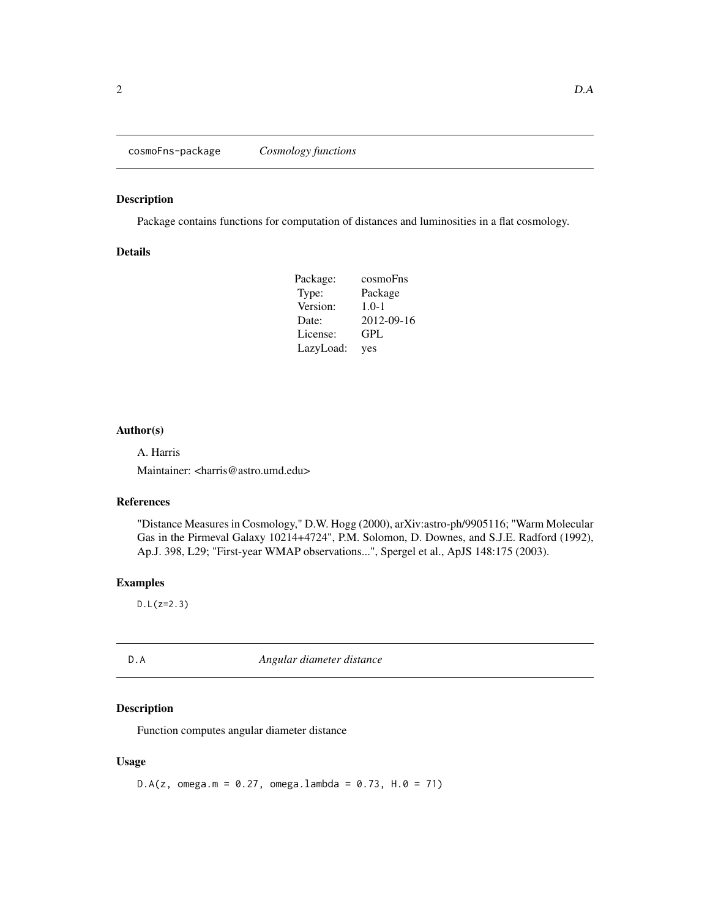<span id="page-1-0"></span>cosmoFns-package *Cosmology functions*

## Description

Package contains functions for computation of distances and luminosities in a flat cosmology.

## Details

| Package:  | cosmoFns   |
|-----------|------------|
| Type:     | Package    |
| Version:  | $1.0 - 1$  |
| Date:     | 2012-09-16 |
| License:  | GPL        |
| LazyLoad: | yes        |

## Author(s)

A. Harris

Maintainer: <harris@astro.umd.edu>

#### References

"Distance Measures in Cosmology," D.W. Hogg (2000), arXiv:astro-ph/9905116; "Warm Molecular Gas in the Pirmeval Galaxy 10214+4724", P.M. Solomon, D. Downes, and S.J.E. Radford (1992), Ap.J. 398, L29; "First-year WMAP observations...", Spergel et al., ApJS 148:175 (2003).

## Examples

D.L(z=2.3)

D.A *Angular diameter distance*

## Description

Function computes angular diameter distance

#### Usage

 $D.A(z, \text{omega.m = 0.27}, \text{omega.lambda = 0.73}, H.0 = 71)$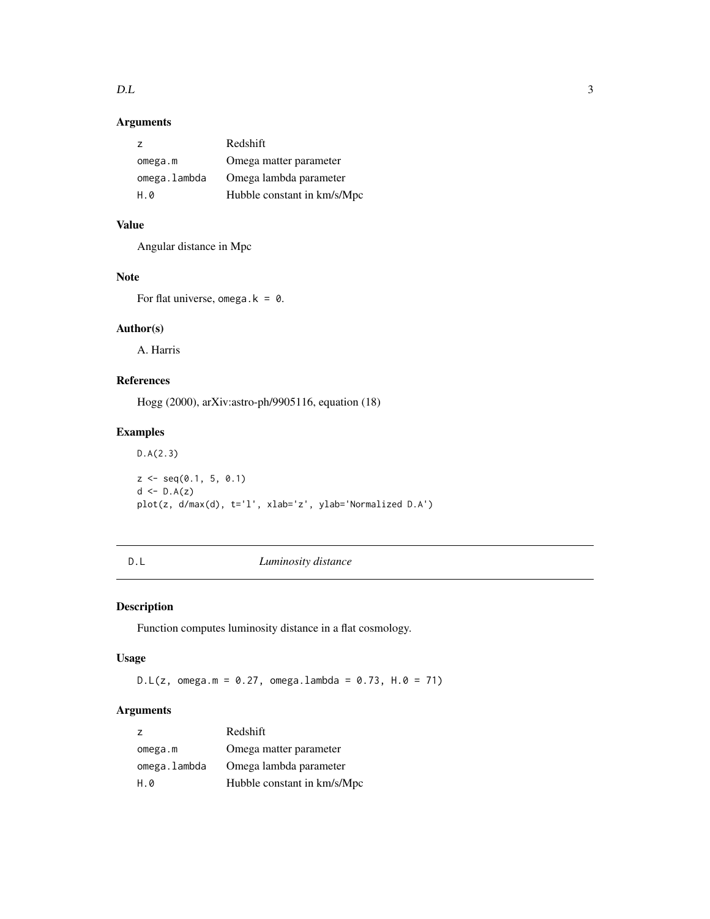<span id="page-2-0"></span> $D.L$  3

## Arguments

| 7            | Redshift                    |
|--------------|-----------------------------|
| omega.m      | Omega matter parameter      |
| omega.lambda | Omega lambda parameter      |
| H.0          | Hubble constant in km/s/Mpc |

## Value

Angular distance in Mpc

## Note

For flat universe, omega.k =  $0$ .

## Author(s)

A. Harris

## References

Hogg (2000), arXiv:astro-ph/9905116, equation (18)

## Examples

D.A(2.3)  $z \leq -\text{seq}(0.1, 5, 0.1)$ d <- D.A(z) plot(z, d/max(d), t='l', xlab='z', ylab='Normalized D.A')

<span id="page-2-1"></span>D.L *Luminosity distance*

## Description

Function computes luminosity distance in a flat cosmology.

## Usage

 $D.L(z, \text{omega.m = 0.27,omega.1ambda = 0.73, H.0 = 71})$ 

## Arguments

| z            | Redshift                    |
|--------------|-----------------------------|
| omega.m      | Omega matter parameter      |
| omega.lambda | Omega lambda parameter      |
| H.0          | Hubble constant in km/s/Mpc |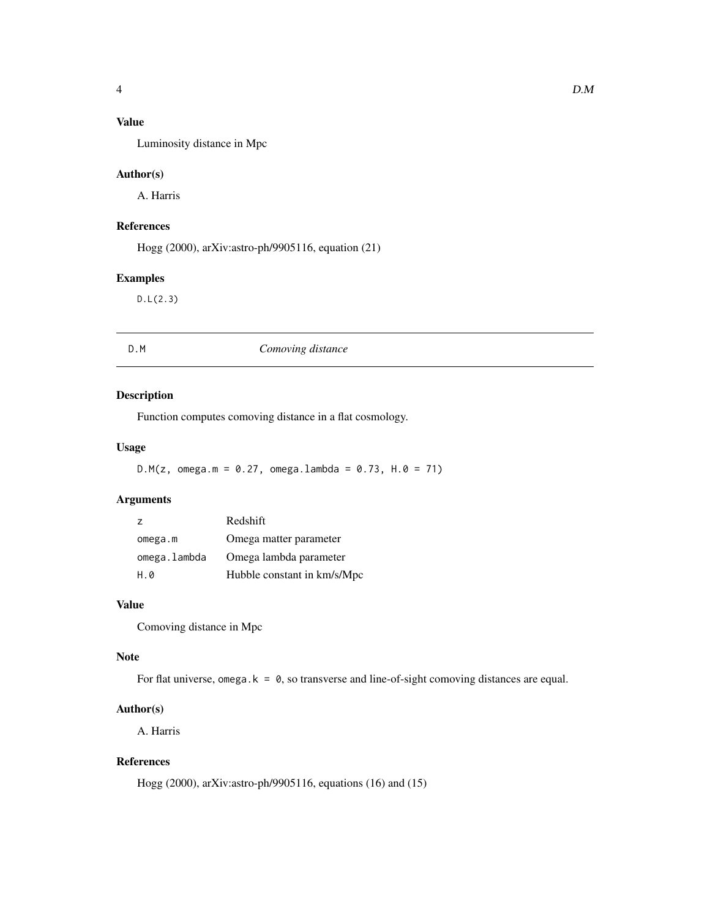## <span id="page-3-0"></span>Value

Luminosity distance in Mpc

## Author(s)

A. Harris

## References

Hogg (2000), arXiv:astro-ph/9905116, equation (21)

## Examples

D.L(2.3)

| D.M<br>Comoving distance |  |
|--------------------------|--|
|--------------------------|--|

## Description

Function computes comoving distance in a flat cosmology.

## Usage

 $D.M(z, \text{omega.m = 0.27}, \text{omega.lambda = 0.73}, H.0 = 71)$ 

## Arguments

| $\overline{z}$ | Redshift                    |
|----------------|-----------------------------|
| omega.m        | Omega matter parameter      |
| omega.lambda   | Omega lambda parameter      |
| H.0            | Hubble constant in km/s/Mpc |

#### Value

Comoving distance in Mpc

## Note

For flat universe, omega.k =  $\theta$ , so transverse and line-of-sight comoving distances are equal.

## Author(s)

A. Harris

## References

Hogg (2000), arXiv:astro-ph/9905116, equations (16) and (15)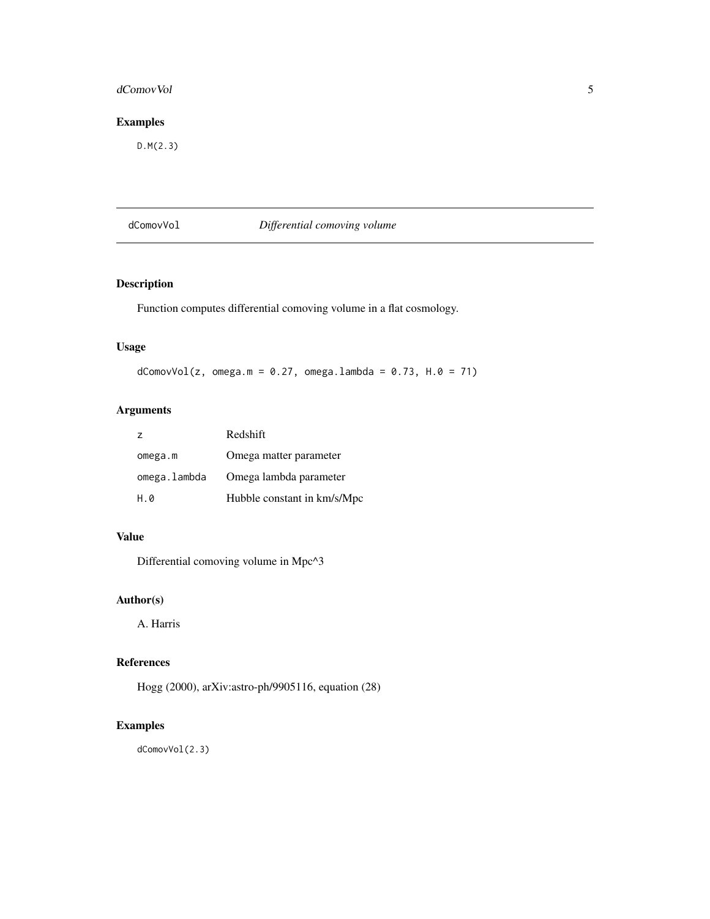#### <span id="page-4-0"></span>dComovVol 55 and 55 and 55 and 55 and 55 and 55 and 55 and 55 and 55 and 55 and 55 and 55 and 55 and 55 and 55 and 55 and 55 and 55 and 55 and 55 and 55 and 55 and 55 and 55 and 55 and 55 and 55 and 55 and 55 and 55 and 55

## Examples

D.M(2.3)

## dComovVol *Differential comoving volume*

## Description

Function computes differential comoving volume in a flat cosmology.

## Usage

 $dComovVol(z, \text{omega.m = } 0.27, \text{omega.lambda = } 0.73, H.0 = 71)$ 

## Arguments

| $\overline{z}$ | Redshift                    |
|----------------|-----------------------------|
| omega.m        | Omega matter parameter      |
| omega.lambda   | Omega lambda parameter      |
| H.0            | Hubble constant in km/s/Mpc |

## Value

Differential comoving volume in Mpc^3

## Author(s)

A. Harris

## References

Hogg (2000), arXiv:astro-ph/9905116, equation (28)

## Examples

dComovVol(2.3)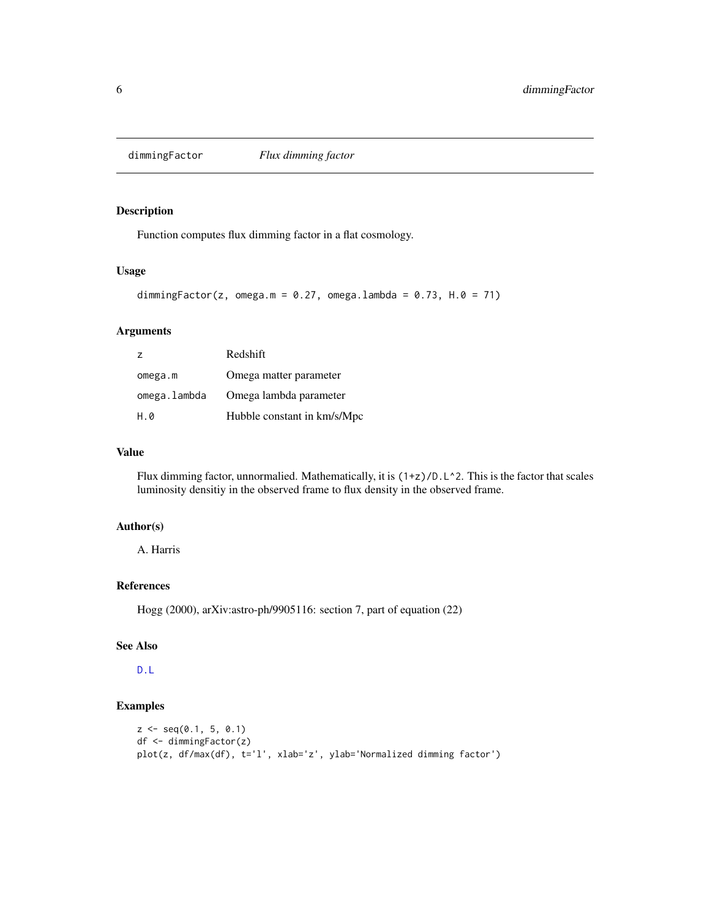<span id="page-5-0"></span>

Function computes flux dimming factor in a flat cosmology.

#### Usage

```
dimmingFactor(z, omega.m = 0.27, omega.lambda = 0.73, H.0 = 71)
```
## Arguments

| $\overline{z}$ | Redshift                    |
|----------------|-----------------------------|
| omega.m        | Omega matter parameter      |
| omega.lambda   | Omega lambda parameter      |
| H.0            | Hubble constant in km/s/Mpc |

#### Value

Flux dimming factor, unnormalied. Mathematically, it is  $(1+z)/D$ . L^2. This is the factor that scales luminosity densitiy in the observed frame to flux density in the observed frame.

#### Author(s)

A. Harris

## References

Hogg (2000), arXiv:astro-ph/9905116: section 7, part of equation (22)

## See Also

[D.L](#page-2-1)

```
z \leq -\text{seq}(0.1, 5, 0.1)df <- dimmingFactor(z)
plot(z, df/max(df), t='l', xlab='z', ylab='Normalized dimming factor')
```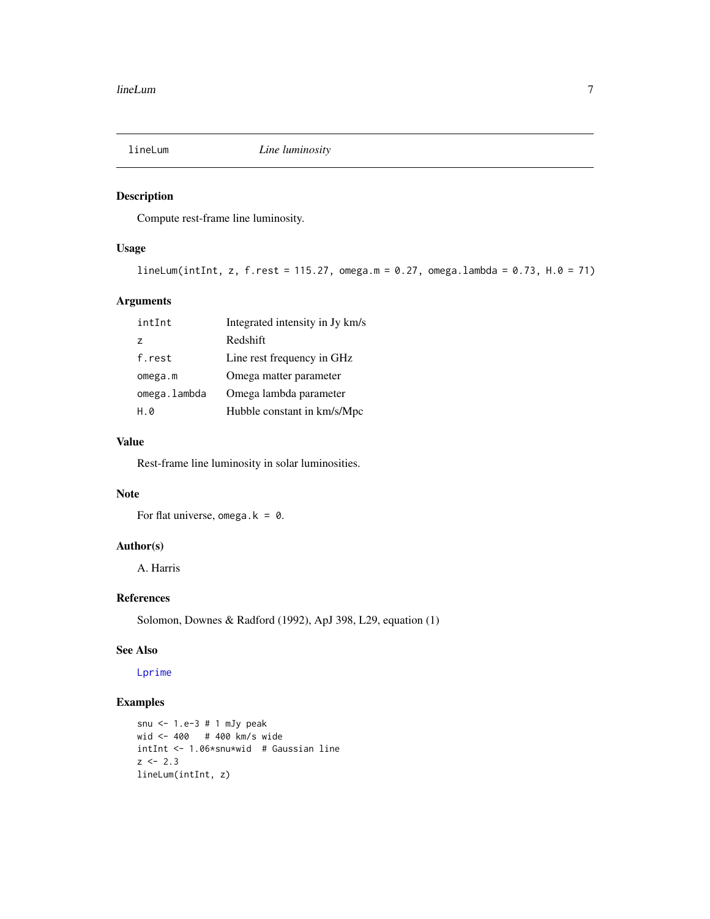<span id="page-6-1"></span><span id="page-6-0"></span>

Compute rest-frame line luminosity.

## Usage

```
lineLum(intInt, z, f.rest = 115.27, omega.m = 0.27, omega.lambda = 0.73, H.0 = 71)
```
#### Arguments

| intInt       | Integrated intensity in Jy km/s |
|--------------|---------------------------------|
| 7            | Redshift                        |
| f.rest       | Line rest frequency in GHz      |
| omega.m      | Omega matter parameter          |
| omega.lambda | Omega lambda parameter          |
| н а          | Hubble constant in km/s/Mpc     |

## Value

Rest-frame line luminosity in solar luminosities.

## Note

For flat universe, omega.k =  $0$ .

## Author(s)

A. Harris

## References

Solomon, Downes & Radford (1992), ApJ 398, L29, equation (1)

#### See Also

[Lprime](#page-8-1)

```
snu <- 1.e-3 # 1 mJy peak
wid <- 400 # 400 km/s wide
intInt <- 1.06*snu*wid # Gaussian line
z \le -2.3lineLum(intInt, z)
```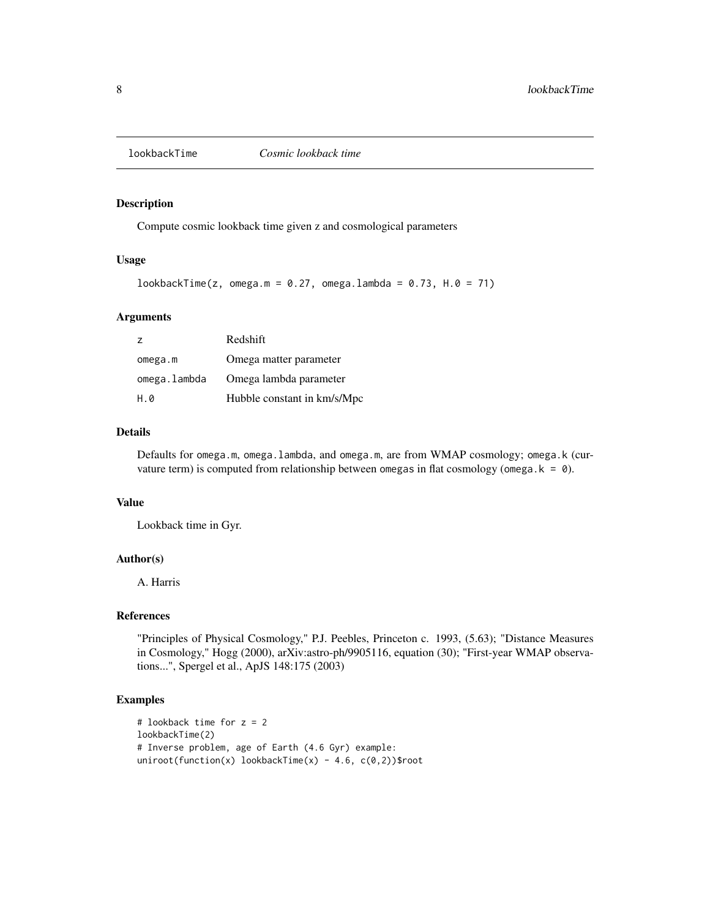<span id="page-7-0"></span>

Compute cosmic lookback time given z and cosmological parameters

#### Usage

```
lookbackTime(z, omega.m = 0.27, omega.lambda = 0.73, H.0 = 71)
```
#### Arguments

| $\overline{z}$ | Redshift                    |
|----------------|-----------------------------|
| omega.m        | Omega matter parameter      |
| omega.lambda   | Omega lambda parameter      |
| H.0            | Hubble constant in km/s/Mpc |

#### Details

Defaults for omega.m, omega.lambda, and omega.m, are from WMAP cosmology; omega.k (curvature term) is computed from relationship between omegas in flat cosmology (omega.  $k = 0$ ).

#### Value

Lookback time in Gyr.

## Author(s)

A. Harris

#### References

"Principles of Physical Cosmology," P.J. Peebles, Princeton c. 1993, (5.63); "Distance Measures in Cosmology," Hogg (2000), arXiv:astro-ph/9905116, equation (30); "First-year WMAP observations...", Spergel et al., ApJS 148:175 (2003)

```
# lookback time for z = 2
lookbackTime(2)
# Inverse problem, age of Earth (4.6 Gyr) example:
uniroot(function(x) lookbackTime(x) - 4.6, c(0,2))$root
```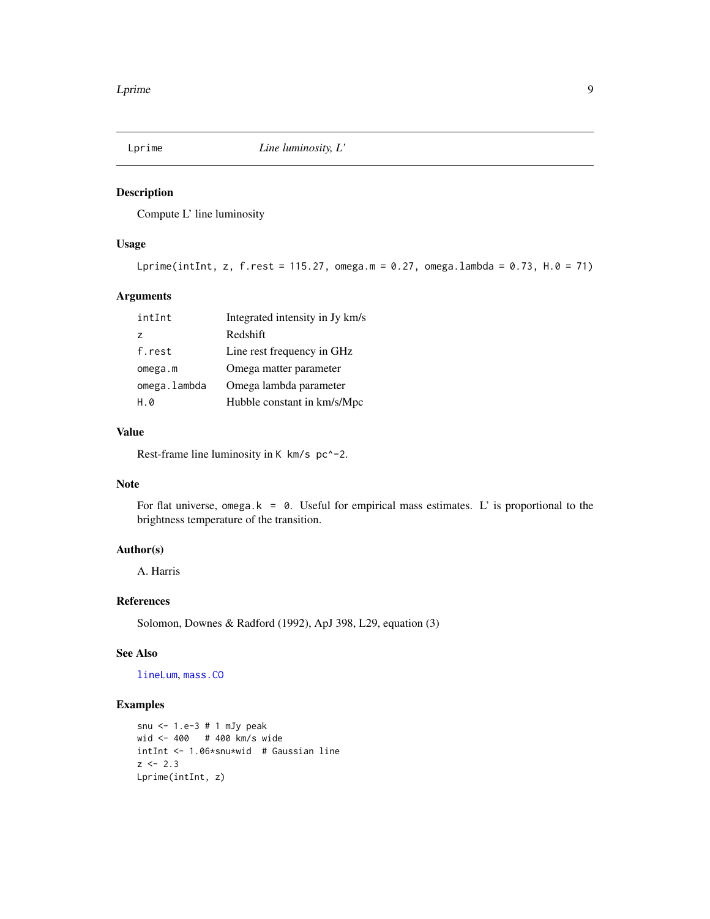<span id="page-8-1"></span><span id="page-8-0"></span>

Compute L' line luminosity

#### Usage

```
Lprime(intInt, z, f.rest = 115.27, omega.m = 0.27, omega.lambda = 0.73, H.0 = 71)
```
#### Arguments

| intInt       | Integrated intensity in Jy km/s |
|--------------|---------------------------------|
| 7            | Redshift                        |
| f.rest       | Line rest frequency in GHz      |
| omega.m      | Omega matter parameter          |
| omega.lambda | Omega lambda parameter          |
| H.Ø          | Hubble constant in km/s/Mpc     |

#### Value

Rest-frame line luminosity in K km/s pc<sup> $\sim$ -2.</sup>

## Note

For flat universe, omega.k =  $\theta$ . Useful for empirical mass estimates. L' is proportional to the brightness temperature of the transition.

## Author(s)

A. Harris

## References

Solomon, Downes & Radford (1992), ApJ 398, L29, equation (3)

#### See Also

[lineLum](#page-6-1), [mass.CO](#page-9-1)

```
snu <- 1.e-3 # 1 mJy peak
wid <- 400 # 400 km/s wide
intInt <- 1.06*snu*wid # Gaussian line
z \le -2.3Lprime(intInt, z)
```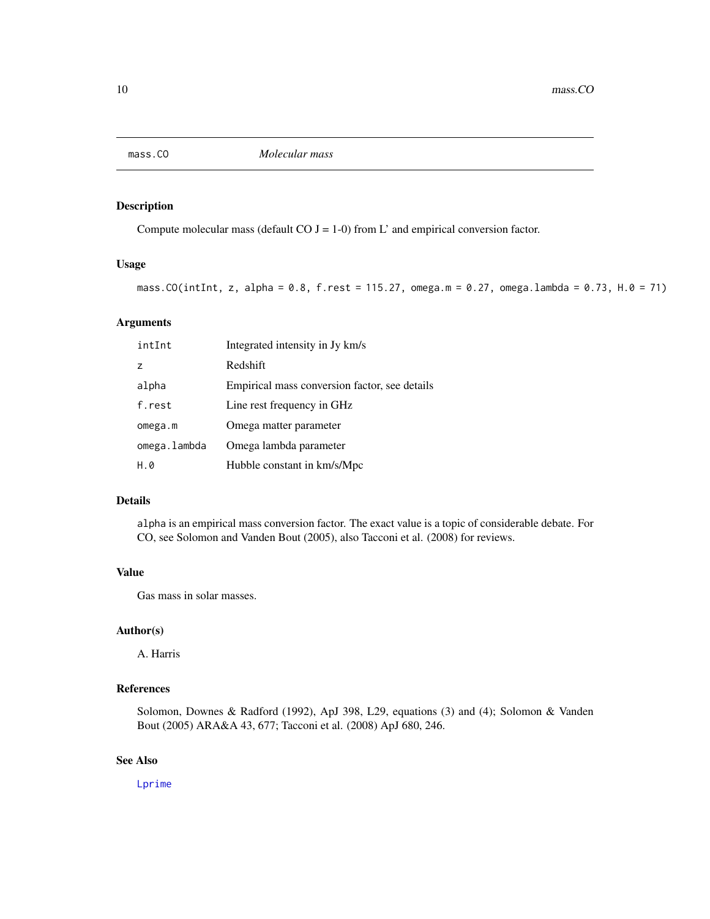<span id="page-9-1"></span><span id="page-9-0"></span>

Compute molecular mass (default CO  $J = 1-0$ ) from L' and empirical conversion factor.

#### Usage

```
mass.CO(intInt, z, alpha = 0.8, f.rest = 115.27, omega.m = 0.27, omega.lambda = 0.73, H.0 = 71)
```
## Arguments

| intInt         | Integrated intensity in Jy km/s               |
|----------------|-----------------------------------------------|
| $\overline{z}$ | Redshift                                      |
| alpha          | Empirical mass conversion factor, see details |
| f.rest         | Line rest frequency in GHz                    |
| omega.m        | Omega matter parameter                        |
| omega.lambda   | Omega lambda parameter                        |
| H.0            | Hubble constant in km/s/Mpc                   |

## Details

alpha is an empirical mass conversion factor. The exact value is a topic of considerable debate. For CO, see Solomon and Vanden Bout (2005), also Tacconi et al. (2008) for reviews.

## Value

Gas mass in solar masses.

## Author(s)

A. Harris

## References

Solomon, Downes & Radford (1992), ApJ 398, L29, equations (3) and (4); Solomon & Vanden Bout (2005) ARA&A 43, 677; Tacconi et al. (2008) ApJ 680, 246.

## See Also

[Lprime](#page-8-1)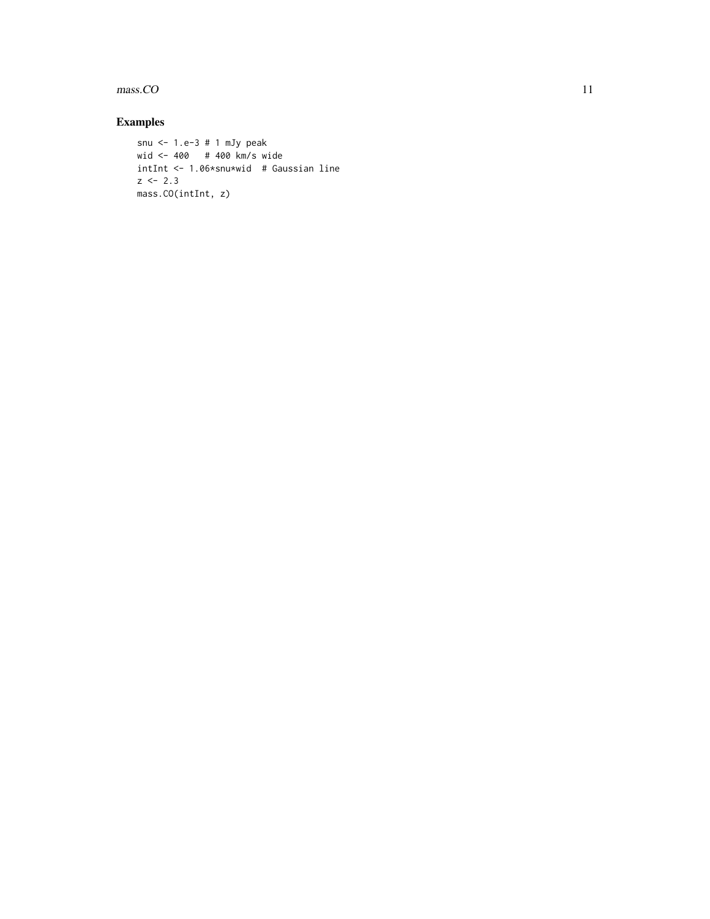$mass. CO$  11

```
snu <- 1.e-3 # 1 mJy peak
wid <- 400 # 400 km/s wide
intInt <- 1.06*snu*wid # Gaussian line
z \le -2.3mass.CO(intInt, z)
```